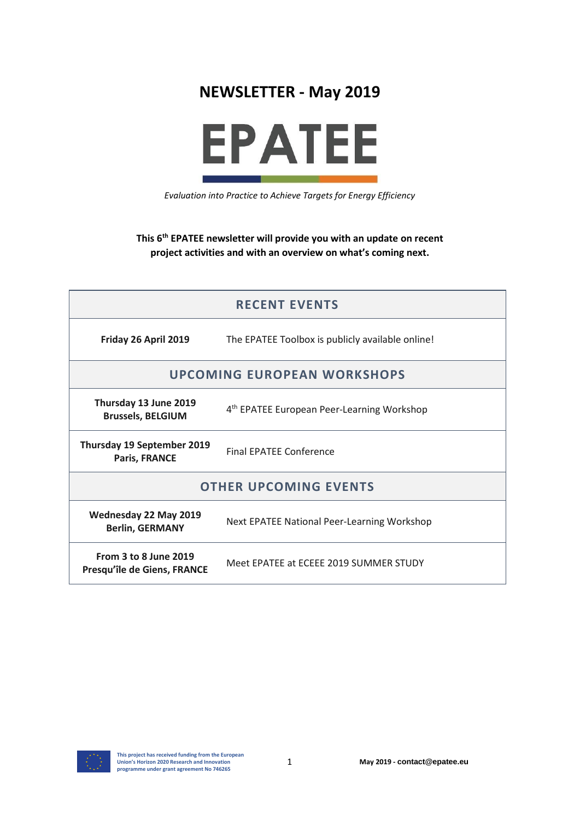



*Evaluation into Practice to Achieve Targets for Energy Efficiency*

**This 6 th EPATEE newsletter will provide you with an update on recent project activities and with an overview on what's coming next.**

| <b>RECENT EVENTS</b>                                        |                                                        |
|-------------------------------------------------------------|--------------------------------------------------------|
| Friday 26 April 2019                                        | The EPATEE Toolbox is publicly available online!       |
| <b>UPCOMING EUROPEAN WORKSHOPS</b>                          |                                                        |
| Thursday 13 June 2019<br><b>Brussels, BELGIUM</b>           | 4 <sup>th</sup> EPATEE European Peer-Learning Workshop |
| Thursday 19 September 2019<br>Paris, FRANCE                 | <b>Final EPATEE Conference</b>                         |
| <b>OTHER UPCOMING EVENTS</b>                                |                                                        |
| Wednesday 22 May 2019<br><b>Berlin, GERMANY</b>             | <b>Next EPATEE National Peer-Learning Workshop</b>     |
| <b>From 3 to 8 June 2019</b><br>Presqu'île de Giens, FRANCE | Meet EPATEE at ECEEE 2019 SUMMER STUDY                 |

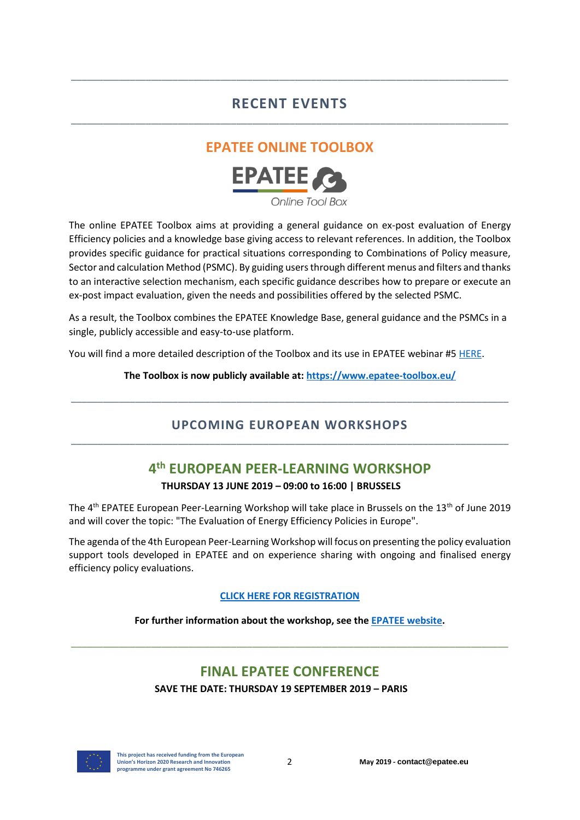## **RECENT EVENTS** \_\_\_\_\_\_\_\_\_\_\_\_\_\_\_\_\_\_\_\_\_\_\_\_\_\_\_\_\_\_\_\_\_\_\_\_\_\_\_\_\_\_\_\_\_\_\_\_\_\_\_\_\_\_\_\_\_\_\_\_\_\_\_\_\_\_\_\_\_\_\_\_\_\_\_\_\_\_\_\_\_\_

\_\_\_\_\_\_\_\_\_\_\_\_\_\_\_\_\_\_\_\_\_\_\_\_\_\_\_\_\_\_\_\_\_\_\_\_\_\_\_\_\_\_\_\_\_\_\_\_\_\_\_\_\_\_\_\_\_\_\_\_\_\_\_\_\_\_\_\_\_\_\_\_\_\_\_\_\_\_\_\_\_\_

## **EPATEE ONLINE TOOLBOX**



The online EPATEE Toolbox aims at providing a general guidance on ex-post evaluation of Energy Efficiency policies and a knowledge base giving access to relevant references. In addition, the Toolbox provides specific guidance for practical situations corresponding to Combinations of Policy measure, Sector and calculation Method (PSMC). By guiding users through different menus and filters and thanks to an interactive selection mechanism, each specific guidance describes how to prepare or execute an ex-post impact evaluation, given the needs and possibilities offered by the selected PSMC.

As a result, the Toolbox combines the EPATEE Knowledge Base, general guidance and the PSMCs in a single, publicly accessible and easy-to-use platform.

You will find a more detailed description of the Toolbox and its use in EPATEE webinar #5 [HERE.](https://epatee.eu/events/webinar-5-2nd-epatee-dissemination-webinar-how-and-what-can-we-learn-epatee-toolbox)

#### **The Toolbox is now publicly available at[: https://www.epatee-toolbox.eu/](https://www.epatee-toolbox.eu/)**

### **UPCOMING EUROPEAN WORKSHOPS** \_\_\_\_\_\_\_\_\_\_\_\_\_\_\_\_\_\_\_\_\_\_\_\_\_\_\_\_\_\_\_\_\_\_\_\_\_\_\_\_\_\_\_\_\_\_\_\_\_\_\_\_\_\_\_\_\_\_\_\_\_\_\_\_\_\_\_\_\_\_\_\_\_\_\_\_\_\_\_\_\_\_

\_\_\_\_\_\_\_\_\_\_\_\_\_\_\_\_\_\_\_\_\_\_\_\_\_\_\_\_\_\_\_\_\_\_\_\_\_\_\_\_\_\_\_\_\_\_\_\_\_\_\_\_\_\_\_\_\_\_\_\_\_\_\_\_\_\_\_\_\_\_\_\_\_\_\_\_\_\_\_\_\_\_

## **4 th EUROPEAN PEER-LEARNING WORKSHOP THURSDAY 13 JUNE 2019 – 09:00 to 16:00 | BRUSSELS**

The  $4<sup>th</sup>$  EPATEE European Peer-Learning Workshop will take place in Brussels on the 13<sup>th</sup> of June 2019 and will cover the topic: "The Evaluation of Energy Efficiency Policies in Europe".

The agenda of the 4th European Peer-Learning Workshop will focus on presenting the policy evaluation support tools developed in EPATEE and on experience sharing with ongoing and finalised energy efficiency policy evaluations.

#### **[CLICK HERE FOR REGISTRATION](http://forms.energyagency.at/index.php?id=1170)**

#### **For further information about the workshop, see the [EPATEE website.](https://epatee.eu/events/4th-epatee-european-peer-learning-workshop)**

\_\_\_\_\_\_\_\_\_\_\_\_\_\_\_\_\_\_\_\_\_\_\_\_\_\_\_\_\_\_\_\_\_\_\_\_\_\_\_\_\_\_\_\_\_\_\_\_\_\_\_\_\_\_\_\_\_\_\_\_\_\_\_\_\_\_\_\_\_\_\_\_\_\_\_\_\_\_\_\_\_\_

# **FINAL EPATEE CONFERENCE**

**SAVE THE DATE: THURSDAY 19 SEPTEMBER 2019 – PARIS**